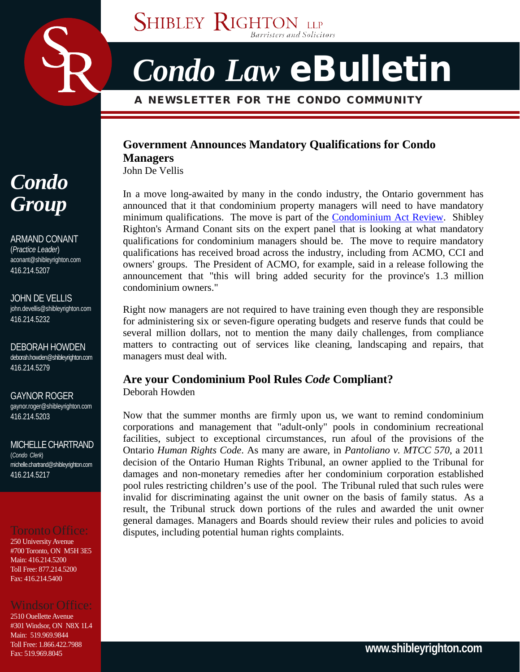

# *Condo Law* eBulletin

Barristers and Solicitors

## A NEWSLETTER FOR THE CONDO COMMUNITY

**SHIBLEY RIGHTON LLP** 

## **Government Announces Mandatory Qualifications for Condo**

**Managers**

John De Vellis

In a move long-awaited by many in the condo industry, the Ontario government has announced that it that condominium property managers will need to have mandatory minimum qualifications. The move is part of the [Condominium Act Review.](http://www.sse.gov.on.ca/mcs/en/Pages/condo_rev.aspx) Shibley Righton's Armand Conant sits on the expert panel that is looking at what mandatory qualifications for condominium managers should be. The move to require mandatory qualifications has received broad across the industry, including from ACMO, CCI and owners' groups. The President of ACMO, for example, said in a release following the announcement that "this will bring added security for the province's 1.3 million condominium owners."

Right now managers are not required to have training even though they are responsible for administering six or seven-figure operating budgets and reserve funds that could be several million dollars, not to mention the many daily challenges, from compliance matters to contracting out of services like cleaning, landscaping and repairs, that managers must deal with.

### **Are your Condominium Pool Rules** *Code* **Compliant?** Deborah Howden

Now that the summer months are firmly upon us, we want to remind condominium corporations and management that "adult-only" pools in condominium recreational facilities, subject to exceptional circumstances, run afoul of the provisions of the Ontario *Human Rights Code*. As many are aware, in *Pantoliano v. MTCC 570*, a 2011 decision of the Ontario Human Rights Tribunal, an owner applied to the Tribunal for damages and non-monetary remedies after her condominium corporation established pool rules restricting children's use of the pool. The Tribunal ruled that such rules were invalid for discriminating against the unit owner on the basis of family status. As a result, the Tribunal struck down portions of the rules and awarded the unit owner general damages. Managers and Boards should review their rules and policies to avoid disputes, including potential human rights complaints.

## *Condo Group*

ARMAND CONANT (*Practice Leader*) [aconant@shibleyrighton.com](mailto:aconant@shibleyrighton.com) 416.214.5207

JOHN DE VELLIS [john.devellis@shibleyrighton.com](mailto:john.devellis@shibleyrighton.com) 416.214.5232

DEBORAH HOWDEN [deborah.howden@shibleyrighton.com](mailto:deborah.howden@shibleyrighton.com) 416.214.5279

GAYNOR ROGER [gaynor.roger@shibleyrighton.com](mailto:gaynor.roger@shibleyrighton.com) 416.214.5203

MICHELLECHARTRAND (*Condo Clerk*) [michelle.chartrand@shibleyrighton.com](mailto:michelle.chartrand@shibleyrighton.com) 416.214.5217

## Toronto Office:

250 University Avenue #700 Toronto, ON M5H 3E5 Main: 416.214.5200 Toll Free: 877.214.5200 Fax: 416.214.5400

2510 Ouellette Avenue #301 Windsor, ON N8X 1L4 Main: 519.969.9844 Toll Free: 1.866.422.7988